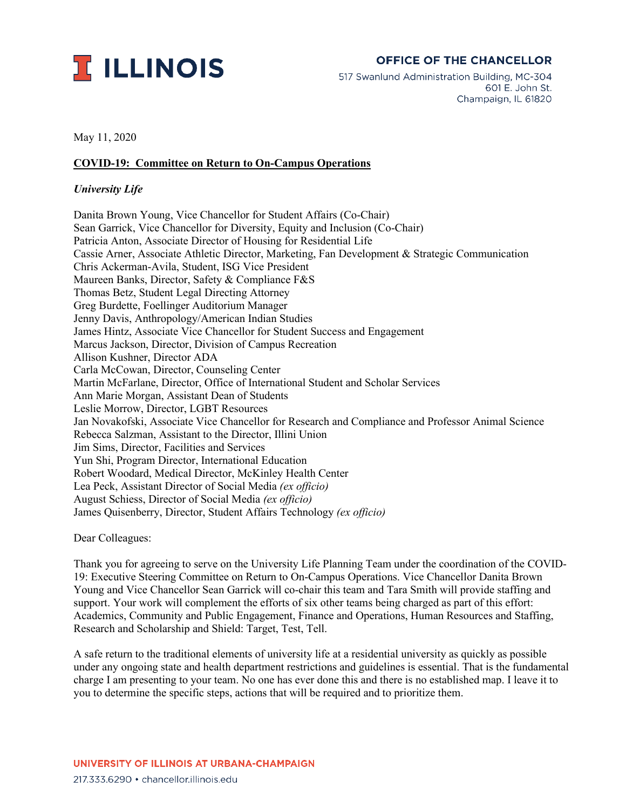

## **OFFICE OF THE CHANCELLOR**

517 Swanlund Administration Building, MC-304 601 E. John St. Champaign, IL 61820

May 11, 2020

## **COVID-19: Committee on Return to On-Campus Operations**

## *University Life*

Danita Brown Young, Vice Chancellor for Student Affairs (Co-Chair) Sean Garrick, Vice Chancellor for Diversity, Equity and Inclusion (Co-Chair) Patricia Anton, Associate Director of Housing for Residential Life Cassie Arner, Associate Athletic Director, Marketing, Fan Development & Strategic Communication Chris Ackerman-Avila, Student, ISG Vice President Maureen Banks, Director, Safety & Compliance F&S Thomas Betz, Student Legal Directing Attorney Greg Burdette, Foellinger Auditorium Manager Jenny Davis, Anthropology/American Indian Studies James Hintz, Associate Vice Chancellor for Student Success and Engagement Marcus Jackson, Director, Division of Campus Recreation Allison Kushner, Director ADA Carla McCowan, Director, Counseling Center Martin McFarlane, Director, Office of International Student and Scholar Services Ann Marie Morgan, Assistant Dean of Students Leslie Morrow, Director, LGBT Resources Jan Novakofski, Associate Vice Chancellor for Research and Compliance and Professor Animal Science Rebecca Salzman, Assistant to the Director, Illini Union Jim Sims, Director, Facilities and Services Yun Shi, Program Director, International Education Robert Woodard, Medical Director, McKinley Health Center Lea Peck, Assistant Director of Social Media *(ex officio)* August Schiess, Director of Social Media *(ex officio)* James Quisenberry, Director, Student Affairs Technology *(ex officio)*

Dear Colleagues:

Thank you for agreeing to serve on the University Life Planning Team under the coordination of the COVID-19: Executive Steering Committee on Return to On-Campus Operations. Vice Chancellor Danita Brown Young and Vice Chancellor Sean Garrick will co-chair this team and Tara Smith will provide staffing and support. Your work will complement the efforts of six other teams being charged as part of this effort: Academics, Community and Public Engagement, Finance and Operations, Human Resources and Staffing, Research and Scholarship and Shield: Target, Test, Tell.

A safe return to the traditional elements of university life at a residential university as quickly as possible under any ongoing state and health department restrictions and guidelines is essential. That is the fundamental charge I am presenting to your team. No one has ever done this and there is no established map. I leave it to you to determine the specific steps, actions that will be required and to prioritize them.